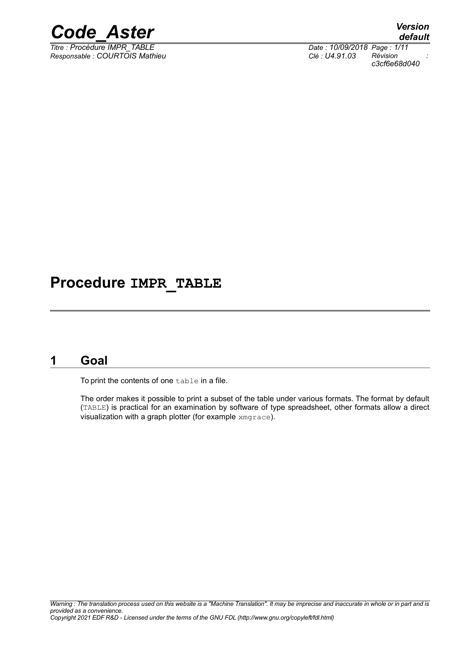

*Titre : Procédure IMPR\_TABLE Date : 10/09/2018 Page : 1/11 Responsable : COURTOIS Mathieu Clé : U4.91.03 Révision :*

*default c3cf6e68d040*

## **Procedure IMPR\_TABLE**

## **1 Goal**

To print the contents of one table in a file.

The order makes it possible to print a subset of the table under various formats. The format by default (TABLE) is practical for an examination by software of type spreadsheet, other formats allow a direct visualization with a graph plotter (for example xmgrace).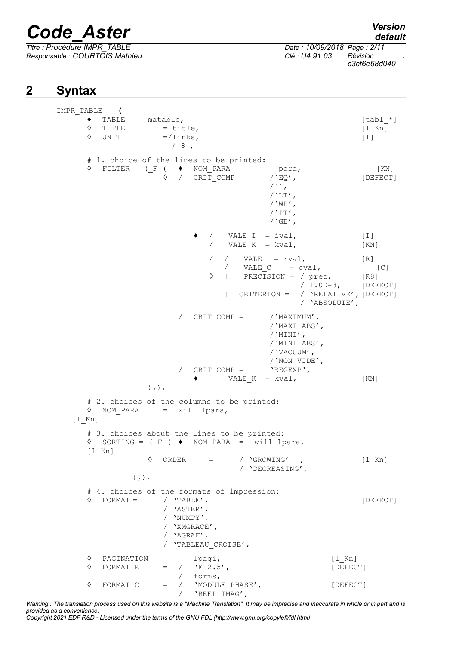$T$ *itre : Procédure IMPR\_TABLE*</u> *Responsable : COURTOIS Mathieu Clé : U4.91.03 Révision :*

*c3cf6e68d040*

## **2 Syntax**

```
IMPR_TABLE (
      \begin{array}{ll}\n\bullet & \text{TABLE} = & \text{matchle} \,, \\
\Diamond & \text{TIME} & = \text{title} \,,\n\end{array}
\begin{array}{ll}\n\bullet & \text{[tabl -*]} \\
\bullet & \text{[1 Kn]}\n\end{array}\begin{array}{lll} \Diamond & \text{TIME} & = \text{title,} \\ \Diamond & \text{UNIT} & =/ \text{links,} \end{array}=/links, [1]/8,
      # 1. choice of the lines to be printed:
      \Diamond FILTER = (_F ( \blacklozenge NOM_PARA = para, [KN]<br>\Diamond / CRIT COMP = /'EQ', [DEFECT
                           / CRIT COMP = /'EQ', [DEFECT]
                                                /'',
                                                /'LT',
                                                /'WP',
                                                /'IT',
                                                /'GE',
                                  \sqrt{} VALE I = ival, [1]\angle VALE<sup>K</sup> = kval, [KN]
                                   / / VALE = rval, [R]<br>/ VALE C = cval,
                                      / VALE C = cval, [C]◊ | PRECISION = / prec, [R8]
                                                       / 1.0D-3, [DEFECT]
                                      | CRITERION = / 'RELATIVE',[DEFECT]
                                                      / 'ABSOLUTE',
                           / CRIT COMP = /'MAXIMUM',
                                                /'MAXI_ABS',
                                                /'MINI',
                                                /'MINI_ABS',
                                                /'VACUUM',
                                               /'NON_VIDE',<br>'REGEXP',
                           / CRIT COMP =\bullet VALE K = kval, [KN]
                    ),),
      # 2. choices of the columns to be printed:
      ◊ NOM_PARA = will lpara,
   [l_Kn]
      # 3. choices about the lines to be printed:
      \Diamond SORTING = (F ( \blacklozenge NOM PARA = will lpara,
      [l_Kn]
                    \Diamond ORDER = / 'GROWING' , [l_Kn]
                                         / 'DECREASING', 
                 ),),
      # 4. choices of the formats of impression:
      ◊ FORMAT = / 'TABLE', [DEFECT]
                        / 'ASTER',
                        / 'NUMPY',
                        / 'XMGRACE',
                        / 'AGRAF',
                        / 'TABLEAU_CROISE',
      ◊ PAGINATION = lpagi, [l_Kn]
      \Diamond FORMAT R = / 'E12.5', [DEFECT]
                           / forms,
      ◊ FORMAT_C = / 'MODULE_PHASE', [DEFECT]
                           / ' 'REEL IMAG',
```
*Warning : The translation process used on this website is a "Machine Translation". It may be imprecise and inaccurate in whole or in part and is provided as a convenience.*

*Copyright 2021 EDF R&D - Licensed under the terms of the GNU FDL (http://www.gnu.org/copyleft/fdl.html)*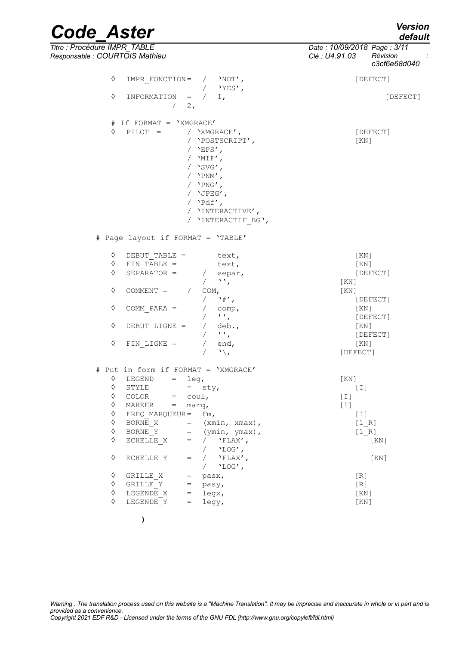*default*

*c3cf6e68d040*

## *Code\_Aster Version Titre : Procédure IMPR\_TABLE Date : 10/09/2018 Page : 3/11 Responsable : COURTOIS Mathieu Clé : U4.91.03 Révision :* ◊ IMPR\_FONCTION= / 'NOT', [DEFECT] / 'YES', ◊ INFORMATION = / 1, [DEFECT]  $/ 2$ ,

 $#$  If FORMAT = 'XMGRACE'<br>  $\Diamond$  PILOT = / 'XMGI / 'XMGRACE',<br>
/ 'POSTSCRIPT',<br>
/ 'POSTSCRIPT', / 'POSTSCRIPT', / 'EPS',  $/$  'MIF', / 'SVG',  $/$  'PNM',  $/$  'PNG', / 'JPEG', / 'Pdf', / 'INTERACTIVE', / 'INTERACTIF\_BG', # Page layout if FORMAT = 'TABLE' ◊ DEBUT\_TABLE = text, [KN]  $\overline{FIN}$  TABLE = text,  $[KN]$  $\sqrt{SEPARATOR}$  = / separ,  $[DEFECT]$ 

|   |               |      | w     | [KN]     |
|---|---------------|------|-------|----------|
| ♦ | COMMENT =     | COM, |       | [KN]     |
|   |               |      | `#′   | [DEFECT] |
| ♦ | COMM PARA $=$ |      | comp, | [KN]     |
|   |               |      | . .   | [DEFECT] |
| ♦ | DEBUT LIGNE = |      | deb.  | [KN]     |
|   |               |      | . .   | [DEFECT] |
| ♦ | $FIN$ LIGNE = |      | end,  | [KN]     |
|   |               |      |       | [DEFECT] |

| ♦ | LEGEND<br>$=$ |                                     |                               | KN                                                                                         |
|---|---------------|-------------------------------------|-------------------------------|--------------------------------------------------------------------------------------------|
| ♦ | STYLE         |                                     |                               | $\left[\begin{array}{c} \bot \end{array}\right]$                                           |
| ♦ | COLOR<br>$=$  |                                     |                               | $[1]$                                                                                      |
| ♦ | MARKER<br>$=$ |                                     |                               | $[1]$                                                                                      |
| ♦ |               |                                     | $Fm$ ,                        | $[1]$                                                                                      |
| ♦ | BORNE X       |                                     | $(xmin, xmax)$ ,              | [1 R]                                                                                      |
| ♦ | BORNE Y       | $=$                                 | $(\text{ymin}, \text{ymax}),$ | [1 R]                                                                                      |
| ♦ | ECHELLE X     | $=$                                 | $'$ FLAX',                    | [KN]                                                                                       |
|   |               |                                     | $'LOG'$ ,                     |                                                                                            |
| ♦ | ECHELLE Y     |                                     | $'FLAX'$ ,                    | KN                                                                                         |
|   |               |                                     | $'LOG'$ ,                     |                                                                                            |
| ♦ | GRILLE X      | $=$                                 | pasx,                         | $\lceil R \rceil$                                                                          |
| ♦ | GRILLE Y      | $=$                                 | pasy,                         | [R]                                                                                        |
| ♦ | LEGENDE X     | $\hspace*{0.4em} = \hspace*{0.4em}$ | legx,                         | [KN]                                                                                       |
| ♦ | LEGENDE Y     | $=$                                 | legy,                         | [KN]                                                                                       |
|   |               |                                     | FREQ MARQUEUR=                | Put in form if FORMAT = 'XMGRACE'<br>leg,<br>$=$ sty,<br>$coul$ ,<br>marq,<br>$=$ $\qquad$ |

**)**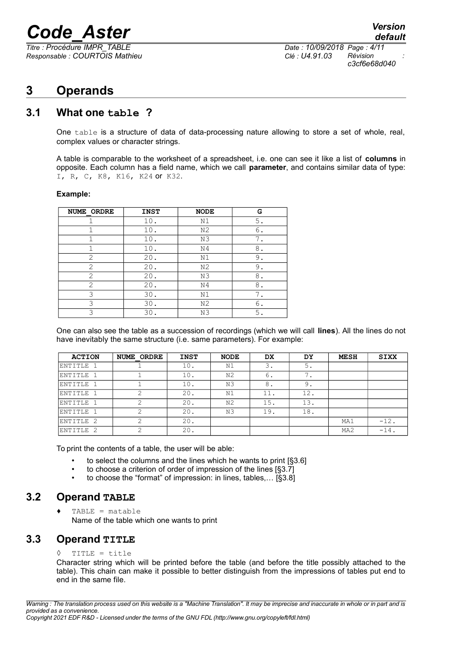$\overline{T}$ itre : Procédure *IMPR\_TABLE Responsable : COURTOIS Mathieu Clé : U4.91.03 Révision :*

## **3 Operands**

### **3.1 What one table ?**

One table is a structure of data of data-processing nature allowing to store a set of whole, real, complex values or character strings.

A table is comparable to the worksheet of a spreadsheet, i.e. one can see it like a list of **columns** in opposite. Each column has a field name, which we call **parameter**, and contains similar data of type: I, R, C, K8, K16, K24 or K32.

#### **Example:**

| NUME ORDRE     | <b>INST</b> | <b>NODE</b>    | G  |
|----------------|-------------|----------------|----|
|                | 10.         | N1             | 5. |
|                | 10.         | N <sub>2</sub> | 6. |
|                | 10.         | N3             |    |
|                | 10.         | N <sub>4</sub> | 8. |
| $\overline{2}$ | 20.         | N1             | 9. |
| $\overline{2}$ | 20.         | N <sub>2</sub> | 9. |
| 2              | 20.         | N3             | 8  |
| 2              | 20.         | N4             | 8. |
| 3              | 30.         | N1             | 7. |
| 3              | 30.         | N <sub>2</sub> | 6. |
| ς              | 30.         | N3             | 5. |

One can also see the table as a succession of recordings (which we will call **lines**). All the lines do not have inevitably the same structure (i.e. same parameters). For example:

| <b>ACTION</b> | <b>NUME ORDRE</b> | <b>INST</b> | <b>NODE</b>    | <b>DX</b> | DY  | <b>MESH</b>     | <b>SIXX</b> |
|---------------|-------------------|-------------|----------------|-----------|-----|-----------------|-------------|
| ENTITLE 1     |                   | 10.         | N1             | 3.        | 5.  |                 |             |
| ENTITLE 1     |                   | 10.         | N <sub>2</sub> | 6.        | ⇁   |                 |             |
| ENTITLE 1     |                   | 10.         | N3             | 8.        | 9.  |                 |             |
| ENTITLE 1     |                   | 20.         | N1             | 11.       | 12. |                 |             |
| ENTITLE 1     |                   | 20.         | N2             | 15.       | 13. |                 |             |
| ENTITLE 1     |                   | 20.         | N3             | 19.       | 18. |                 |             |
| ENTITLE 2     |                   | 20.         |                |           |     | MA1             | $-12.$      |
| ENTITLE 2     |                   | 20.         |                |           |     | MA <sub>2</sub> | $-14$ .     |

To print the contents of a table, the user will be able:

- to select the columns and the lines which he wants to print [§3.6]
- to choose a criterion of order of impression of the lines [§3.7]
- to choose the "format" of impression: in lines, tables,… [§3.8]

### **3.2 Operand TABLE**

 $\triangleleft$  TABLE = matable Name of the table which one wants to print

#### **3.3 Operand TITLE**

#### ◊ TITLE = title

Character string which will be printed before the table (and before the title possibly attached to the table). This chain can make it possible to better distinguish from the impressions of tables put end to end in the same file.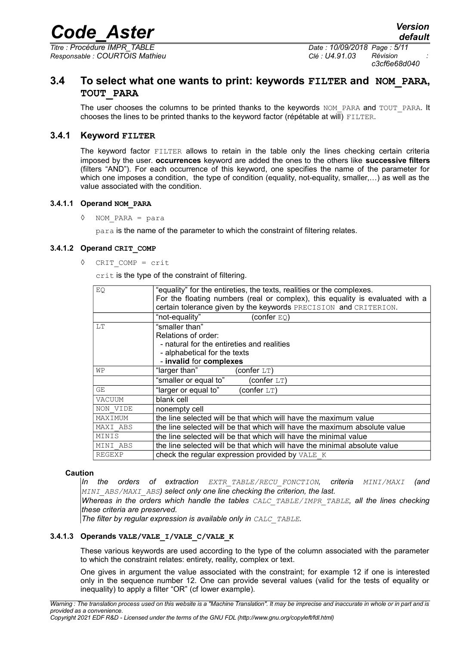*Titre : Procédure IMPR\_TABLE Date : 10/09/2018 Page : 5/11 Responsable : COURTOIS Mathieu Clé : U4.91.03 Révision :*

*c3cf6e68d040*

### **3.4 To select what one wants to print: keywords FILTER and NOM\_PARA, TOUT\_PARA**

The user chooses the columns to be printed thanks to the keywords NOM\_PARA and TOUT\_PARA. It chooses the lines to be printed thanks to the keyword factor (répétable at will) FILTER.

#### **3.4.1 Keyword FILTER**

The keyword factor FILTER allows to retain in the table only the lines checking certain criteria imposed by the user. **occurrences** keyword are added the ones to the others like **successive filters** (filters "AND"). For each occurrence of this keyword, one specifies the name of the parameter for which one imposes a condition, the type of condition (equality, not-equality, smaller,…) as well as the value associated with the condition.

#### **3.4.1.1 Operand NOM\_PARA**

◊ NOM\_PARA = para

para is the name of the parameter to which the constraint of filtering relates.

#### **3.4.1.2 Operand CRIT\_COMP**

◊ CRIT\_COMP = crit

crit is the type of the constraint of filtering.

| EQ       | "equality" for the entireties, the texts, realities or the complexes.<br>For the floating numbers (real or complex), this equality is evaluated with a |
|----------|--------------------------------------------------------------------------------------------------------------------------------------------------------|
|          | certain tolerance given by the keywords PRECISION and CRITERION.                                                                                       |
|          | (confer $EQ$ )<br>"not-equality"                                                                                                                       |
| LT       | "smaller than"                                                                                                                                         |
|          | Relations of order:                                                                                                                                    |
|          | - natural for the entireties and realities                                                                                                             |
|          | - alphabetical for the texts                                                                                                                           |
|          | - invalid for complexes                                                                                                                                |
| WΡ       | "larger than"<br>(confer $LT$ )                                                                                                                        |
|          | "smaller or equal to"<br>(confer $LT$ )                                                                                                                |
| GE.      | "larger or equal to"<br>(confer $LT$ )                                                                                                                 |
| VACUUM   | blank cell                                                                                                                                             |
| NON VIDE | nonempty cell                                                                                                                                          |
| MAXIMUM  | the line selected will be that which will have the maximum value                                                                                       |
| MAXI ABS | the line selected will be that which will have the maximum absolute value                                                                              |
| MINIS    | the line selected will be that which will have the minimal value                                                                                       |
| MINI ABS | the line selected will be that which will have the minimal absolute value                                                                              |
| REGEXP   | check the regular expression provided by VALE K                                                                                                        |

#### **Caution**

*In the orders of extraction EXTR\_TABLE/RECU\_FONCTION, criteria MINI/MAXI (and MINI\_ABS/MAXI\_ABS) select only one line checking the criterion, the last.*

*Whereas in the orders which handle the tables CALC\_TABLE/IMPR\_TABLE, all the lines checking these criteria are preserved.*

*The filter by regular expression is available only in CALC\_TABLE.*

#### **3.4.1.3 Operands VALE/VALE\_I/VALE\_C/VALE\_K**

These various keywords are used according to the type of the column associated with the parameter to which the constraint relates: entirety, reality, complex or text.

One gives in argument the value associated with the constraint; for example 12 if one is interested only in the sequence number 12. One can provide several values (valid for the tests of equality or inequality) to apply a filter "OR" (cf lower example).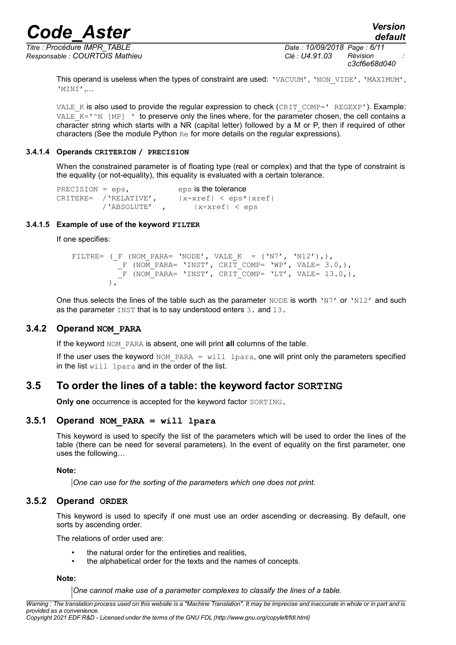*Titre : Procédure IMPR\_TABLE Date : 10/09/2018 Page : 6/11 Responsable : COURTOIS Mathieu Clé : U4.91.03 Révision :*

*c3cf6e68d040*

This operand is useless when the types of constraint are used: 'VACUUM', 'NON VIDE', 'MAXIMUM', 'MINI',…

VALE  $K$  is also used to provide the regular expression to check (CRIT COMP=' REGEXP'). Example: VALE  $K='\gamma N$  [MP] ' to preserve only the lines where, for the parameter chosen, the cell contains a character string which starts with a NR (capital letter) followed by a M or P, then if required of other characters (See the module Python Re for more details on the regular expressions).

#### **3.4.1.4 Operands CRITERION / PRECISION**

When the constrained parameter is of floating type (real or complex) and that the type of constraint is the equality (or not-equality), this equality is evaluated with a certain tolerance.

```
PRECISION = eps, eps is the tolerance
CRITERE= /'RELATIVE', |x-xref| < eps*|xref|/'ABSOLUTE' , |x-\text{xref}| < eps
```
#### **3.4.1.5 Example of use of the keyword FILTER**

If one specifies:

```
FILTRE= (F (NOM PARA= 'NODE', VALE K = ('N7', 'N12'),),
          F (NOM PARA= 'INST', CRIT COMP= 'WP', VALE= 3.0,),
          _<br>F (NOM_PARA= 'INST', CRIT_COMP= 'LT', VALE= 13.0,),
 ),
```
One thus selects the lines of the table such as the parameter  $NODE$  is worth ' $N7'$  or ' $N12'$  and such as the parameter INST that is to say understood enters 3. and 13.

#### **3.4.2 Operand NOM\_PARA**

If the keyword NOM\_PARA is absent, one will print **all** columns of the table.

If the user uses the keyword NOM PARA = will lpara, one will print only the parameters specified in the list will lpara and in the order of the list.

### **3.5 To order the lines of a table: the keyword factor SORTING**

**Only one** occurrence is accepted for the keyword factor SORTING.

#### **3.5.1 Operand NOM\_PARA = will lpara**

This keyword is used to specify the list of the parameters which will be used to order the lines of the table (there can be need for several parameters). In the event of equality on the first parameter, one uses the following…

#### **Note:**

*One can use for the sorting of the parameters which one does not print.*

#### **3.5.2 Operand ORDER**

This keyword is used to specify if one must use an order ascending or decreasing. By default, one sorts by ascending order.

The relations of order used are:

- the natural order for the entireties and realities,
- the alphabetical order for the texts and the names of concepts.

#### **Note:**

*One cannot make use of a parameter complexes to classify the lines of a table.*

*Warning : The translation process used on this website is a "Machine Translation". It may be imprecise and inaccurate in whole or in part and is provided as a convenience. Copyright 2021 EDF R&D - Licensed under the terms of the GNU FDL (http://www.gnu.org/copyleft/fdl.html)*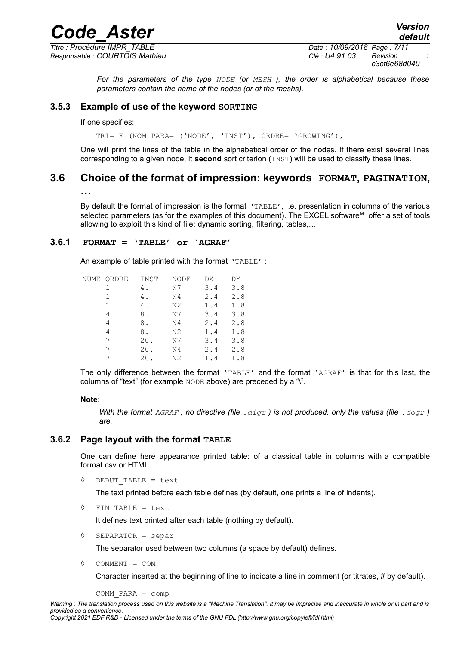*Responsable : COURTOIS Mathieu Clé : U4.91.03 Révision :*

*Titre : Procédure IMPR\_TABLE Date : 10/09/2018 Page : 7/11 c3cf6e68d040*

*default*

*For the parameters of the type NODE (or MESH ), the order is alphabetical because these parameters contain the name of the nodes (or of the meshs).*

#### **3.5.3 Example of use of the keyword SORTING**

If one specifies:

TRI= F (NOM PARA= ('NODE', 'INST'), ORDRE= 'GROWING'),

One will print the lines of the table in the alphabetical order of the nodes. If there exist several lines corresponding to a given node, it **second** sort criterion (INST) will be used to classify these lines.

### **3.6 Choice of the format of impression: keywords FORMAT, PAGINATION,**

**…**

By default the format of impression is the format 'TABLE', i.e. presentation in columns of the various selected parameters (as for the examples of this document). The EXCEL software $M<sup>T</sup>$  offer a set of tools allowing to exploit this kind of file: dynamic sorting, filtering, tables,…

#### **3.6.1 FORMAT = 'TABLE' or 'AGRAF'**

An example of table printed with the format 'TABLE' :

| INST | NODE           | DX  | DY  |
|------|----------------|-----|-----|
| 4.   | N7             | 3.4 | 3.8 |
| 4.   | N4             | 2.4 | 2.8 |
| 4.   | N2             | 1.4 | 1.8 |
| 8.   | N7             | 3.4 | 3.8 |
| 8.   | N4             | 2.4 | 2.8 |
| 8.   | N <sub>2</sub> | 1.4 | 1.8 |
| 20.  | N7             | 3.4 | 3.8 |
| 20.  | N4             | 2.4 | 2.8 |
| 20   | N2             | 1.4 | 1.8 |
|      |                |     |     |

The only difference between the format 'TABLE' and the format 'AGRAF' is that for this last, the columns of "text" (for example NODE above) are preceded by a "\".

#### **Note:**

*With the format AGRAF , no directive (file .digr ) is not produced, only the values (file .dogr ) are.*

#### **3.6.2 Page layout with the format TABLE**

One can define here appearance printed table: of a classical table in columns with a compatible format csv or HTML…

◊ DEBUT\_TABLE = text

The text printed before each table defines (by default, one prints a line of indents).

◊ FIN\_TABLE = text

It defines text printed after each table (nothing by default).

◊ SEPARATOR = separ

The separator used between two columns (a space by default) defines.

◊ COMMENT = COM

Character inserted at the beginning of line to indicate a line in comment (or titrates, # by default).

COMM\_PARA = comp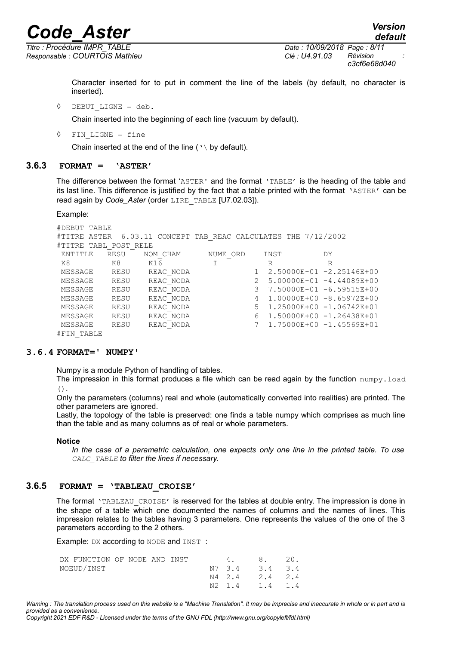*Responsable : COURTOIS Mathieu Clé : U4.91.03 Révision :*

*Titre : Procédure IMPR\_TABLE Date : 10/09/2018 Page : 8/11 c3cf6e68d040*

*default*

Character inserted for to put in comment the line of the labels (by default, no character is inserted).

◊ DEBUT\_LIGNE = deb.

Chain inserted into the beginning of each line (vacuum by default).

◊ FIN\_LIGNE = fine

Chain inserted at the end of the line ( $\vee$  by default).

#### **3.6.3 FORMAT = 'ASTER'**

The difference between the format 'ASTER' and the format 'TABLE' is the heading of the table and its last line. This difference is justified by the fact that a table printed with the format 'ASTER' can be read again by *Code\_Aster* (order LIRE\_TABLE [U7.02.03]).

Example:

```
#DEBUT_TABLE
#TITRE ASTER 6.03.11 CONCEPT TAB REAC CALCULATES THE 7/12/2002
#TITRE TABL POST RELE
 ENTITLE RESU NOM_CHAM NUME_ORD INST DY
K8 K8 K16 I R R R<br>MESSAGE RESU REACNODA 1 2.50000E-01-2
MESSAGE RESU REAC_NODA 1 2.50000E-01 -2.25146E+00
MESSAGE RESU REAC_NODA 2 5.00000E-01 -4.44089E+00
MESSAGE RESU REAC_NODA 3 7.50000E-01 -6.59515E+00
MESSAGE RESU REAC_NODA 4 1.00000E+00 -8.65972E+00
MESSAGE RESU REAC_NODA 5 1.25000E+00 -1.06742E+01
MESSAGE RESU REAC_NODA 6 1.50000E+00 -1.26438E+01
MESSAGE RESU REAC_NODA 7 1.75000E+00 -1.45569E+01
#FIN_TABLE
```
#### **3.6.4 FORMAT=' NUMPY'**

Numpy is a module Python of handling of tables.

The impression in this format produces a file which can be read again by the function  $\text{number of }$  $()$ .

Only the parameters (columns) real and whole (automatically converted into realities) are printed. The other parameters are ignored.

Lastly, the topology of the table is preserved: one finds a table numpy which comprises as much line than the table and as many columns as of real or whole parameters.

#### **Notice**

*In the case of a parametric calculation, one expects only one line in the printed table. To use CALC\_TABLE to filter the lines if necessary.*

#### **3.6.5 FORMAT = 'TABLEAU\_CROISE'**

The format 'TABLEAU CROISE' is reserved for the tables at double entry. The impression is done in the shape of a table which one documented the names of columns and the names of lines. This impression relates to the tables having 3 parameters. One represents the values of the one of the 3 parameters according to the 2 others.

Example: DX according to NODE and INST :

| DX FUNCTION OF NODE AND INST |  |  | 4, 8, 20,      |  |
|------------------------------|--|--|----------------|--|
| NOEUD/INST                   |  |  | N7 3.4 3.4 3.4 |  |
|                              |  |  | N4 2.4 2.4 2.4 |  |
|                              |  |  | N2 1.4 1.4 1.4 |  |

*Warning : The translation process used on this website is a "Machine Translation". It may be imprecise and inaccurate in whole or in part and is provided as a convenience.*

*Copyright 2021 EDF R&D - Licensed under the terms of the GNU FDL (http://www.gnu.org/copyleft/fdl.html)*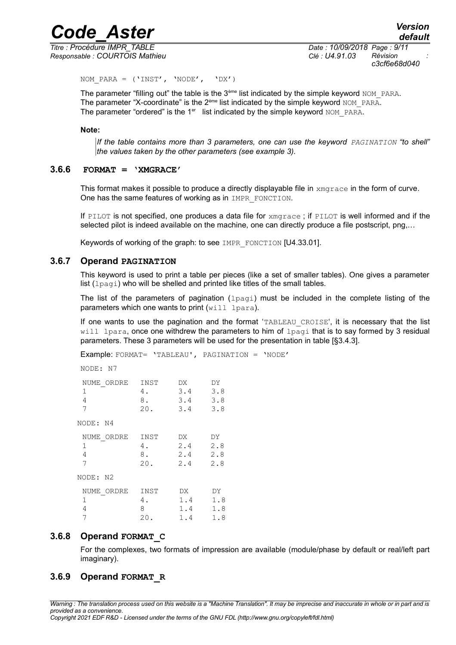*Titre : Procédure IMPR\_TABLE Date : 10/09/2018 Page : 9/11 Responsable : COURTOIS Mathieu Clé : U4.91.03 Révision :*

*c3cf6e68d040*

NOM PARA =  $('INST', 'NODE', 'DX')$ 

The parameter "filling out" the table is the 3<sup>ème</sup> list indicated by the simple keyword NOM\_PARA. The parameter "X-coordinate" is the  $2^{em}$  list indicated by the simple keyword NOM\_PARA. The parameter "ordered" is the  $1<sup>er</sup>$  list indicated by the simple keyword NOM PARA.

#### **Note:**

*If the table contains more than 3 parameters, one can use the keyword PAGINATION "to shell" the values taken by the other parameters (see example 3).*

#### **3.6.6 FORMAT = 'XMGRACE'**

This format makes it possible to produce a directly displayable file in xmgrace in the form of curve. One has the same features of working as in IMPR FONCTION.

If PILOT is not specified, one produces a data file for  $x_{\text{mqrace}}$ ; if PILOT is well informed and if the selected pilot is indeed available on the machine, one can directly produce a file postscript, png,…

Keywords of working of the graph: to see IMPR\_FONCTION [U4.33.01].

#### **3.6.7 Operand PAGINATION**

This keyword is used to print a table per pieces (like a set of smaller tables). One gives a parameter list (lpagi) who will be shelled and printed like titles of the small tables.

The list of the parameters of pagination ( $l$  $p$  $q$  $q$ ) must be included in the complete listing of the parameters which one wants to print  $(will \text{ lpara})$ .

If one wants to use the pagination and the format 'TABLEAU CROISE', it is necessary that the list will lpara, once one withdrew the parameters to him of  $l$   $p$ agi that is to say formed by 3 residual parameters. These 3 parameters will be used for the presentation in table [§3.4.3].

Example: FORMAT= 'TABLEAU', PAGINATION = 'NODE'

NODE: N7

| NUME ORDRE<br>1<br>4<br>7<br>NODE: N4 | INST<br>4.<br>8.<br>20. | DX.<br>3.4<br>3.4<br>3.4 | DY<br>3.8<br>3.8<br>3.8 |
|---------------------------------------|-------------------------|--------------------------|-------------------------|
| NUME ORDRE                            | INST                    | DX.                      | DY                      |
| 1                                     | 4.                      | 2.4                      | 2.8                     |
| 4                                     | 8.                      | 2.4                      | 2.8                     |
| 7                                     | 20.                     | 2.4                      | 2.8                     |
| NODE: N2                              |                         |                          |                         |
| NUME ORDRE                            | INST                    | DX.                      | DY.                     |
| 1                                     | 4.                      | 1.4                      | 1.8                     |
| 4                                     | 8                       | 1.4                      | 1.8                     |
| 7                                     | 20.                     | 1.4                      | 1.8                     |

#### **3.6.8 Operand FORMAT\_C**

For the complexes, two formats of impression are available (module/phase by default or real/left part imaginary).

#### **3.6.9 Operand FORMAT\_R**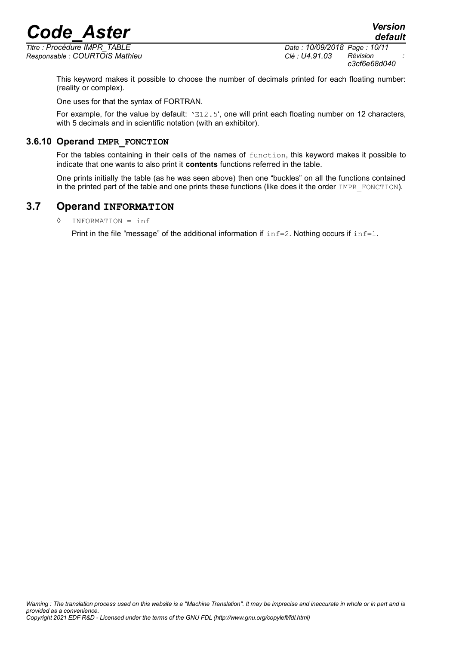*Responsable : COURTOIS Mathieu Clé : U4.91.03 Révision :*

*Titre : Procédure IMPR\_TABLE Date : 10/09/2018 Page : 10/11 c3cf6e68d040*

This keyword makes it possible to choose the number of decimals printed for each floating number: (reality or complex).

One uses for that the syntax of FORTRAN.

For example, for the value by default:  $E12.5'$ , one will print each floating number on 12 characters, with 5 decimals and in scientific notation (with an exhibitor).

#### **3.6.10 Operand IMPR\_FONCTION**

For the tables containing in their cells of the names of function, this keyword makes it possible to indicate that one wants to also print it **contents** functions referred in the table.

One prints initially the table (as he was seen above) then one "buckles" on all the functions contained in the printed part of the table and one prints these functions (like does it the order IMPR\_FONCTION).

### **3.7 Operand INFORMATION**

◊ INFORMATION = inf

Print in the file "message" of the additional information if  $inf=2$ . Nothing occurs if  $inf=1$ .